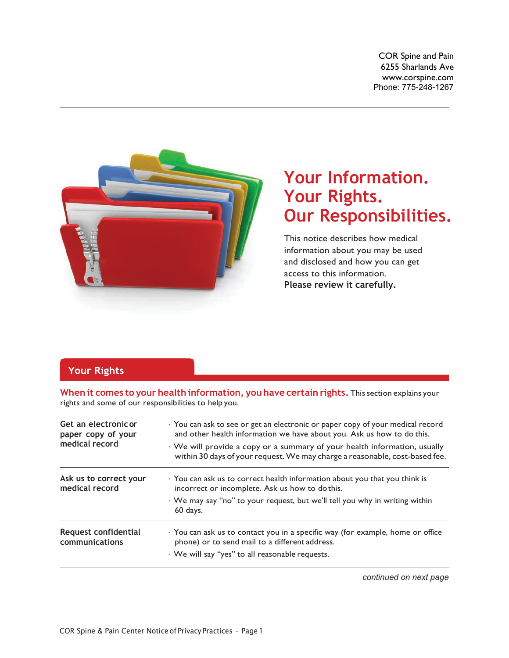COR Spine and Pain 6255 Sharlands Ave www.corspine.com Phone: 775-248-1267



# **Your Information. Your Rights. Our Responsibilities.**

This notice describes how medical information about you may be used and disclosed and how you can get access to this information. **Please review it carefully.**

## **Your Rights**

**When it comes to your health information, you have certain rights.** Thissection explains your rights and some of our responsibilities to help you.

| Get an electronic or<br>paper copy of your<br>medical record | · You can ask to see or get an electronic or paper copy of your medical record<br>and other health information we have about you. Ask us how to do this.<br>· We will provide a copy or a summary of your health information, usually<br>within 30 days of your request. We may charge a reasonable, cost-based fee. |
|--------------------------------------------------------------|----------------------------------------------------------------------------------------------------------------------------------------------------------------------------------------------------------------------------------------------------------------------------------------------------------------------|
| Ask us to correct your<br>medical record                     | · You can ask us to correct health information about you that you think is<br>incorrect or incomplete. Ask us how to dothis.<br>· We may say "no" to your request, but we'll tell you why in writing within<br>60 days.                                                                                              |
| Request confidential<br>communications                       | • You can ask us to contact you in a specific way (for example, home or office<br>phone) or to send mail to a different address.<br>· We will say "yes" to all reasonable requests.                                                                                                                                  |

*continued on next page*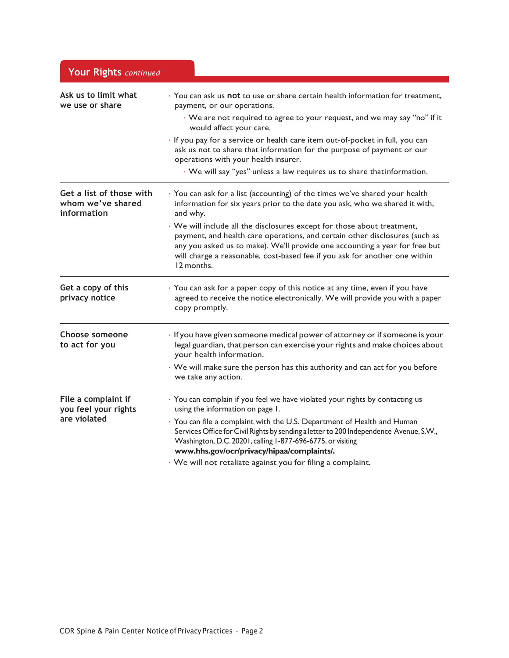| Your Rights continued                                        |                                                                                                                                                                                                                                                                                                                                   |
|--------------------------------------------------------------|-----------------------------------------------------------------------------------------------------------------------------------------------------------------------------------------------------------------------------------------------------------------------------------------------------------------------------------|
| Ask us to limit what<br>we use or share                      | · You can ask us not to use or share certain health information for treatment,<br>payment, or our operations.<br>· We are not required to agree to your request, and we may say "no" if it                                                                                                                                        |
|                                                              | would affect your care.                                                                                                                                                                                                                                                                                                           |
|                                                              | · If you pay for a service or health care item out-of-pocket in full, you can<br>ask us not to share that information for the purpose of payment or our<br>operations with your health insurer.                                                                                                                                   |
|                                                              | · We will say "yes" unless a law requires us to share thatinformation.                                                                                                                                                                                                                                                            |
| Get a list of those with<br>whom we've shared<br>information | · You can ask for a list (accounting) of the times we've shared your health<br>information for six years prior to the date you ask, who we shared it with,<br>and why.                                                                                                                                                            |
|                                                              | · We will include all the disclosures except for those about treatment,<br>payment, and health care operations, and certain other disclosures (such as<br>any you asked us to make). We'll provide one accounting a year for free but<br>will charge a reasonable, cost-based fee if you ask for another one within<br>12 months. |
| Get a copy of this<br>privacy notice                         | · You can ask for a paper copy of this notice at any time, even if you have<br>agreed to receive the notice electronically. We will provide you with a paper<br>copy promptly.                                                                                                                                                    |
| Choose someone<br>to act for you                             | · If you have given someone medical power of attorney or if someone is your<br>legal guardian, that person can exercise your rights and make choices about<br>your health information.                                                                                                                                            |
|                                                              | · We will make sure the person has this authority and can act for you before<br>we take any action.                                                                                                                                                                                                                               |
| File a complaint if<br>you feel your rights                  | · You can complain if you feel we have violated your rights by contacting us<br>using the information on page 1.                                                                                                                                                                                                                  |
| are violated                                                 | · You can file a complaint with the U.S. Department of Health and Human<br>Services Office for Civil Rights by sending a letter to 200 Independence Avenue, S.W.,<br>Washington, D.C. 20201, calling 1-877-696-6775, or visiting<br>www.hhs.gov/ocr/privacy/hipaa/complaints/.                                                    |
|                                                              | · We will not retaliate against you for filing a complaint.                                                                                                                                                                                                                                                                       |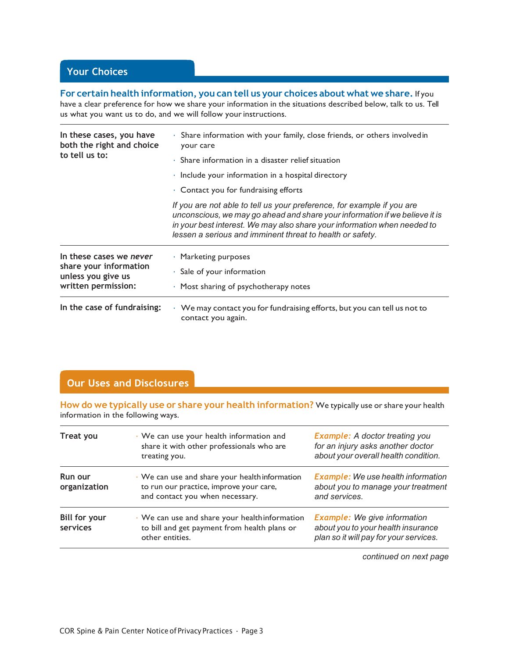### **For certain health information, you can tell us your choices about what we share.** If you

have a clear preference for how we share your information in the situations described below, talk to us. Tell us what you want us to do, and we will follow your instructions.

| In these cases, you have<br>both the right and choice<br>to tell us to:                        | · Share information with your family, close friends, or others involved in<br>your care                                                                                                                                                                                                        |  |  |
|------------------------------------------------------------------------------------------------|------------------------------------------------------------------------------------------------------------------------------------------------------------------------------------------------------------------------------------------------------------------------------------------------|--|--|
|                                                                                                | $\cdot$ Share information in a disaster relief situation                                                                                                                                                                                                                                       |  |  |
|                                                                                                | · Include your information in a hospital directory                                                                                                                                                                                                                                             |  |  |
|                                                                                                | $\cdot$ Contact you for fundraising efforts                                                                                                                                                                                                                                                    |  |  |
|                                                                                                | If you are not able to tell us your preference, for example if you are<br>unconscious, we may go ahead and share your information if we believe it is<br>in your best interest. We may also share your information when needed to<br>lessen a serious and imminent threat to health or safety. |  |  |
| In these cases we never<br>share your information<br>unless you give us<br>written permission: | · Marketing purposes                                                                                                                                                                                                                                                                           |  |  |
|                                                                                                | Sale of your information                                                                                                                                                                                                                                                                       |  |  |
|                                                                                                | · Most sharing of psychotherapy notes                                                                                                                                                                                                                                                          |  |  |
| In the case of fundraising:                                                                    | $\cdot$ We may contact you for fundraising efforts, but you can tell us not to<br>contact you again.                                                                                                                                                                                           |  |  |

## **Our Uses and Disclosures**

**How do we typically use or share your health information?** We typically use or share your health information in the following ways.

| <b>Treat you</b>                 | · We can use your health information and<br>share it with other professionals who are<br>treating you.                       | <b>Example:</b> A doctor treating you<br>for an injury asks another doctor<br>about your overall health condition.  |
|----------------------------------|------------------------------------------------------------------------------------------------------------------------------|---------------------------------------------------------------------------------------------------------------------|
| Run our<br>organization          | · We can use and share your health information<br>to run our practice, improve your care,<br>and contact you when necessary. | <b>Example:</b> We use health information<br>about you to manage your treatment<br>and services.                    |
| <b>Bill for your</b><br>services | · We can use and share your healthinformation<br>to bill and get payment from health plans or<br>other entities.             | <b>Example:</b> We give information<br>about you to your health insurance<br>plan so it will pay for your services. |

*continued on next page*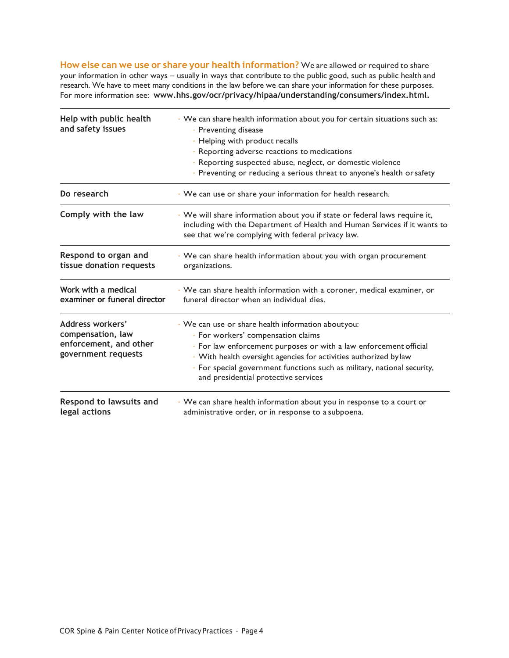**How else can we use or share your health information?** We are allowed or required to share your information in other ways – usually in ways that contribute to the public good, such as public health and research. We have to meet many conditions in the law before we can share your information for these purposes. For more information see: **[www.hhs.gov/ocr/privacy/hipaa/understanding/consumers/index.html](http://www.hhs.gov/ocr/privacy/hipaa/understanding/consumers/index.html).**

| Help with public health<br>and safety issues                                           | · We can share health information about you for certain situations such as:<br>· Preventing disease<br>· Helping with product recalls<br>· Reporting adverse reactions to medications<br>· Reporting suspected abuse, neglect, or domestic violence<br>· Preventing or reducing a serious threat to anyone's health or safety                         |  |
|----------------------------------------------------------------------------------------|-------------------------------------------------------------------------------------------------------------------------------------------------------------------------------------------------------------------------------------------------------------------------------------------------------------------------------------------------------|--|
| Do research                                                                            | · We can use or share your information for health research.                                                                                                                                                                                                                                                                                           |  |
| Comply with the law                                                                    | · We will share information about you if state or federal laws require it,<br>including with the Department of Health and Human Services if it wants to<br>see that we're complying with federal privacy law.                                                                                                                                         |  |
| Respond to organ and<br>tissue donation requests                                       | • We can share health information about you with organ procurement<br>organizations.                                                                                                                                                                                                                                                                  |  |
| Work with a medical<br>examiner or funeral director                                    | · We can share health information with a coroner, medical examiner, or<br>funeral director when an individual dies.                                                                                                                                                                                                                                   |  |
| Address workers'<br>compensation, law<br>enforcement, and other<br>government requests | · We can use or share health information aboutyou:<br>· For workers' compensation claims<br>· For law enforcement purposes or with a law enforcement official<br>· With health oversight agencies for activities authorized by law<br>· For special government functions such as military, national security,<br>and presidential protective services |  |
| Respond to lawsuits and<br>legal actions                                               | · We can share health information about you in response to a court or<br>administrative order, or in response to a subpoena.                                                                                                                                                                                                                          |  |